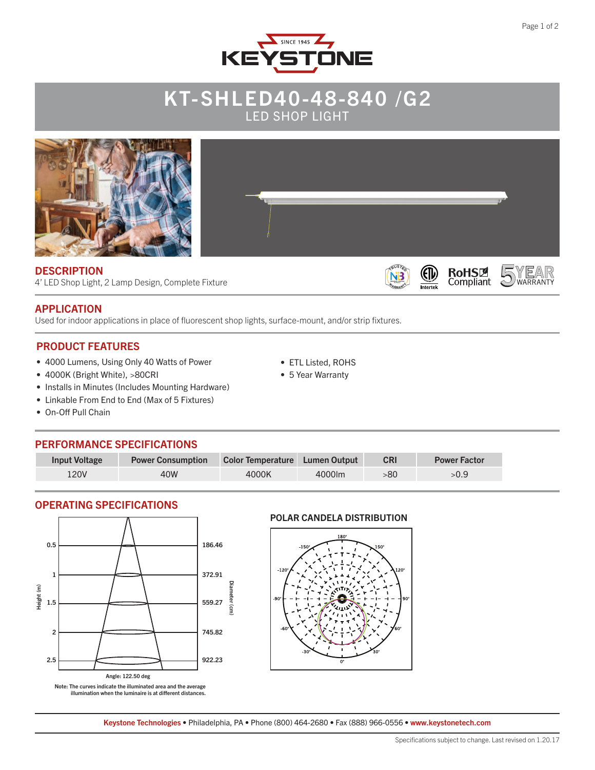

# KT-SHLED40-48-840 /G2 LED SHOP LIGHT



• ETL Listed, ROHS • 5 Year Warranty

N3

Intertek

4' LED Shop Light, 2 Lamp Design, Complete Fixture

### APPLICATION

Used for indoor applications in place of fluorescent shop lights, surface-mount, and/or strip fixtures.

### PRODUCT FEATURES

- 4000 Lumens, Using Only 40 Watts of Power
- 4000K (Bright White), >80CRI
- Installs in Minutes (Includes Mounting Hardware)
- Linkable From End to End (Max of 5 Fixtures)
- On-Off Pull Chain

### PERFORMANCE SPECIFICATIONS

| <b>Input Voltage</b> | <b>Power Consumption</b> | Color Temperature Lumen Output |        | <b>CRI</b> | <b>Power Factor</b> |
|----------------------|--------------------------|--------------------------------|--------|------------|---------------------|
| 120V                 | 40W                      | 4000K                          | 4000lm | -80        |                     |

### OPERATING SPECIFICATIONS



POLAR CANDELA DISTRIBUTION



Keystone Technologies • Philadelphia, PA • Phone (800) 464-2680 • Fax (888) 966-0556 • www.keystonetech.com